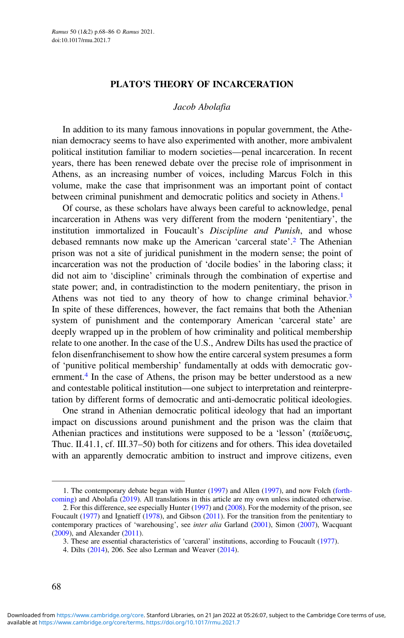### Jacob Abolafia

In addition to its many famous innovations in popular government, the Athenian democracy seems to have also experimented with another, more ambivalent political institution familiar to modern societies—penal incarceration. In recent years, there has been renewed debate over the precise role of imprisonment in Athens, as an increasing number of voices, including Marcus Folch in this volume, make the case that imprisonment was an important point of contact between criminal punishment and democratic politics and society in Athens.<sup>1</sup>

Of course, as these scholars have always been careful to acknowledge, penal incarceration in Athens was very different from the modern 'penitentiary', the institution immortalized in Foucault's Discipline and Punish, and whose debased remnants now make up the American 'carceral state'. <sup>2</sup> The Athenian prison was not a site of juridical punishment in the modern sense; the point of incarceration was not the production of 'docile bodies' in the laboring class; it did not aim to 'discipline' criminals through the combination of expertise and state power; and, in contradistinction to the modern penitentiary, the prison in Athens was not tied to any theory of how to change criminal behavior.<sup>3</sup> In spite of these differences, however, the fact remains that both the Athenian system of punishment and the contemporary American 'carceral state' are deeply wrapped up in the problem of how criminality and political membership relate to one another. In the case of the U.S., Andrew Dilts has used the practice of felon disenfranchisement to show how the entire carceral system presumes a form of 'punitive political membership' fundamentally at odds with democratic government.<sup>4</sup> In the case of Athens, the prison may be better understood as a new and contestable political institution—one subject to interpretation and reinterpretation by different forms of democratic and anti-democratic political ideologies.

One strand in Athenian democratic political ideology that had an important impact on discussions around punishment and the prison was the claim that Athenian practices and institutions were supposed to be a 'lesson' (παίδευσις, Thuc. II.41.1, cf. III.37–50) both for citizens and for others. This idea dovetailed with an apparently democratic ambition to instruct and improve citizens, even

<sup>1.</sup> The contemporary debate began with Hunter [\(1997](#page-17-0)) and Allen ([1997\)](#page-17-0), and now Folch ([forth](#page-17-0)[coming](#page-17-0)) and Abolafia [\(2019](#page-17-0)). All translations in this article are my own unless indicated otherwise.

<sup>2.</sup> For this difference, see especially Hunter ([1997\)](#page-17-0) and ([2008\)](#page-17-0). For the modernity of the prison, see Foucault ([1977\)](#page-17-0) and Ignatieff ([1978\)](#page-17-0), and Gibson [\(2011](#page-17-0)). For the transition from the penitentiary to contemporary practices of 'warehousing', see inter alia Garland [\(2001](#page-17-0)), Simon [\(2007\)](#page-18-0), Wacquant ([2009\)](#page-18-0), and Alexander [\(2011](#page-17-0)).

<sup>3.</sup> These are essential characteristics of 'carceral' institutions, according to Foucault [\(1977\)](#page-17-0).

<sup>4.</sup> Dilts ([2014\)](#page-17-0), 206. See also Lerman and Weaver [\(2014](#page-17-0)).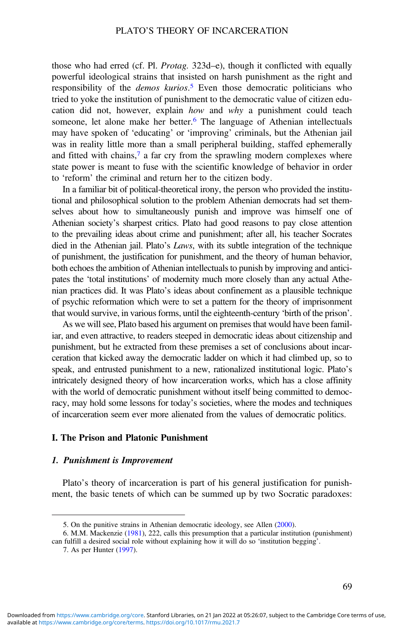those who had erred (cf. Pl. Protag. 323d–e), though it conflicted with equally powerful ideological strains that insisted on harsh punishment as the right and responsibility of the *demos kurios*.<sup>5</sup> Even those democratic politicians who tried to yoke the institution of punishment to the democratic value of citizen education did not, however, explain how and why a punishment could teach someone, let alone make her better.<sup>6</sup> The language of Athenian intellectuals may have spoken of 'educating' or 'improving' criminals, but the Athenian jail was in reality little more than a small peripheral building, staffed ephemerally and fitted with chains, $7$  a far cry from the sprawling modern complexes where state power is meant to fuse with the scientific knowledge of behavior in order to 'reform' the criminal and return her to the citizen body.

In a familiar bit of political-theoretical irony, the person who provided the institutional and philosophical solution to the problem Athenian democrats had set themselves about how to simultaneously punish and improve was himself one of Athenian society's sharpest critics. Plato had good reasons to pay close attention to the prevailing ideas about crime and punishment; after all, his teacher Socrates died in the Athenian jail. Plato's *Laws*, with its subtle integration of the technique of punishment, the justification for punishment, and the theory of human behavior, both echoes the ambition of Athenian intellectuals to punish by improving and anticipates the 'total institutions' of modernity much more closely than any actual Athenian practices did. It was Plato's ideas about confinement as a plausible technique of psychic reformation which were to set a pattern for the theory of imprisonment that would survive, in various forms, until the eighteenth-century 'birth of the prison'.

As we will see, Plato based his argument on premises that would have been familiar, and even attractive, to readers steeped in democratic ideas about citizenship and punishment, but he extracted from these premises a set of conclusions about incarceration that kicked away the democratic ladder on which it had climbed up, so to speak, and entrusted punishment to a new, rationalized institutional logic. Plato's intricately designed theory of how incarceration works, which has a close affinity with the world of democratic punishment without itself being committed to democracy, may hold some lessons for today's societies, where the modes and techniques of incarceration seem ever more alienated from the values of democratic politics.

## I. The Prison and Platonic Punishment

#### 1. Punishment is Improvement

Plato's theory of incarceration is part of his general justification for punishment, the basic tenets of which can be summed up by two Socratic paradoxes:

<sup>5.</sup> On the punitive strains in Athenian democratic ideology, see Allen [\(2000](#page-17-0)).

<sup>6.</sup> M.M. Mackenzie ([1981](#page-17-0)), 222, calls this presumption that a particular institution (punishment) can fulfill a desired social role without explaining how it will do so 'institution begging'.

<sup>7.</sup> As per Hunter [\(1997](#page-17-0)).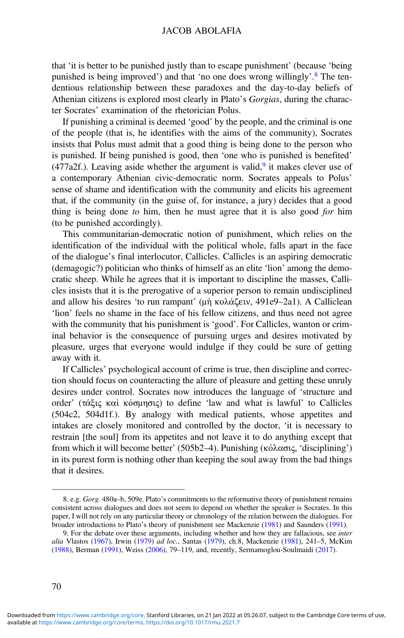that 'it is better to be punished justly than to escape punishment' (because 'being punished is being improved') and that 'no one does wrong willingly'. <sup>8</sup> The tendentious relationship between these paradoxes and the day-to-day beliefs of Athenian citizens is explored most clearly in Plato's Gorgias, during the character Socrates' examination of the rhetorician Polus.

If punishing a criminal is deemed 'good' by the people, and the criminal is one of the people (that is, he identifies with the aims of the community), Socrates insists that Polus must admit that a good thing is being done to the person who is punished. If being punished is good, then 'one who is punished is benefited' (477a2f.). Leaving aside whether the argument is valid,<sup>9</sup> it makes clever use of a contemporary Athenian civic-democratic norm. Socrates appeals to Polus' sense of shame and identification with the community and elicits his agreement that, if the community (in the guise of, for instance, a jury) decides that a good thing is being done to him, then he must agree that it is also good for him (to be punished accordingly).

This communitarian-democratic notion of punishment, which relies on the identification of the individual with the political whole, falls apart in the face of the dialogue's final interlocutor, Callicles. Callicles is an aspiring democratic (demagogic?) politician who thinks of himself as an elite 'lion' among the democratic sheep. While he agrees that it is important to discipline the masses, Callicles insists that it is the prerogative of a superior person to remain undisciplined and allow his desires 'to run rampant' (μὴ κολάζειν, 491e9–2a1). A Calliclean 'lion' feels no shame in the face of his fellow citizens, and thus need not agree with the community that his punishment is 'good'. For Callicles, wanton or criminal behavior is the consequence of pursuing urges and desires motivated by pleasure, urges that everyone would indulge if they could be sure of getting away with it.

If Callicles' psychological account of crime is true, then discipline and correction should focus on counteracting the allure of pleasure and getting these unruly desires under control. Socrates now introduces the language of 'structure and order' (τάξις καὶ κόσμησις) to define 'law and what is lawful' to Callicles (504c2, 504d1f.). By analogy with medical patients, whose appetites and intakes are closely monitored and controlled by the doctor, 'it is necessary to restrain [the soul] from its appetites and not leave it to do anything except that from which it will become better' (505b2–4). Punishing (κόλασις, 'disciplining') in its purest form is nothing other than keeping the soul away from the bad things that it desires.

<sup>8.</sup> e.g. Gorg. 480a–b, 509e. Plato's commitments to the reformative theory of punishment remains consistent across dialogues and does not seem to depend on whether the speaker is Socrates. In this paper, I will not rely on any particular theory or chronology of the relation between the dialogues. For broader introductions to Plato's theory of punishment see Mackenzie ([1981\)](#page-17-0) and Saunders [\(1991](#page-18-0)).

<sup>9.</sup> For the debate over these arguments, including whether and how they are fallacious, see *inter* alia Vlastos ([1967\)](#page-18-0), Irwin ([1979\)](#page-17-0) ad loc., Santas ([1979\)](#page-18-0), ch.8, Mackenzie ([1981\)](#page-17-0), 241–5, McKim ([1988\)](#page-17-0), Berman ([1991\)](#page-17-0), Weiss ([2006\)](#page-18-0), 79–119, and, recently, Sermamoglou-Soulmaidi [\(2017](#page-18-0)).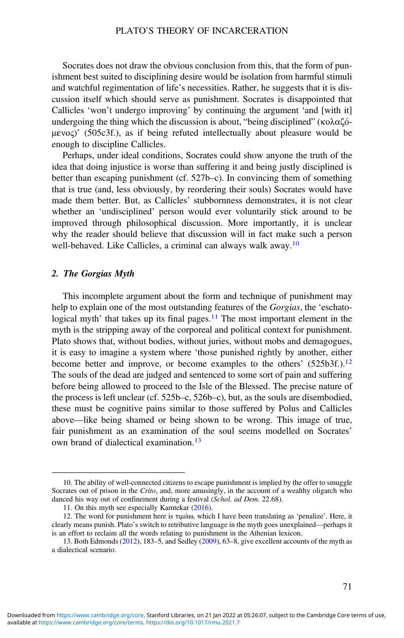Socrates does not draw the obvious conclusion from this, that the form of punishment best suited to disciplining desire would be isolation from harmful stimuli and watchful regimentation of life's necessities. Rather, he suggests that it is discussion itself which should serve as punishment. Socrates is disappointed that Callicles 'won't undergo improving' by continuing the argument 'and [with it] undergoing the thing which the discussion is about, "being disciplined" (κολαζόμενος)' (505c3f.), as if being refuted intellectually about pleasure would be enough to discipline Callicles.

Perhaps, under ideal conditions, Socrates could show anyone the truth of the idea that doing injustice is worse than suffering it and being justly disciplined is better than escaping punishment (cf. 527b–c). In convincing them of something that is true (and, less obviously, by reordering their souls) Socrates would have made them better. But, as Callicles' stubbornness demonstrates, it is not clear whether an 'undisciplined' person would ever voluntarily stick around to be improved through philosophical discussion. More importantly, it is unclear why the reader should believe that discussion will in fact make such a person well-behaved. Like Callicles, a criminal can always walk away.<sup>10</sup>

#### 2. The Gorgias Myth

This incomplete argument about the form and technique of punishment may help to explain one of the most outstanding features of the *Gorgias*, the 'eschatological myth' that takes up its final pages.<sup>11</sup> The most important element in the myth is the stripping away of the corporeal and political context for punishment. Plato shows that, without bodies, without juries, without mobs and demagogues, it is easy to imagine a system where 'those punished rightly by another, either become better and improve, or become examples to the others' (525b3f.).<sup>12</sup> The souls of the dead are judged and sentenced to some sort of pain and suffering before being allowed to proceed to the Isle of the Blessed. The precise nature of the process is left unclear (cf. 525b–c, 526b–c), but, as the souls are disembodied, these must be cognitive pains similar to those suffered by Polus and Callicles above—like being shamed or being shown to be wrong. This image of true, fair punishment as an examination of the soul seems modelled on Socrates' own brand of dialectical examination.<sup>13</sup>

<sup>10.</sup> The ability of well-connected citizens to escape punishment is implied by the offer to smuggle Socrates out of prison in the Crito, and, more amusingly, in the account of a wealthy oligarch who danced his way out of confinement during a festival (Schol. ad Dem. 22.68).

<sup>11.</sup> On this myth see especially Kamtekar ([2016\)](#page-17-0).

<sup>12.</sup> The word for punishment here is τιμάω, which I have been translating as 'penalize'. Here, it clearly means punish. Plato's switch to retributive language in the myth goes unexplained—perhaps it is an effort to reclaim all the words relating to punishment in the Athenian lexicon.

<sup>13.</sup> Both Edmonds [\(2012](#page-17-0)), 183–5, and Sedley [\(2009\)](#page-18-0), 63–8, give excellent accounts of the myth as a dialectical scenario.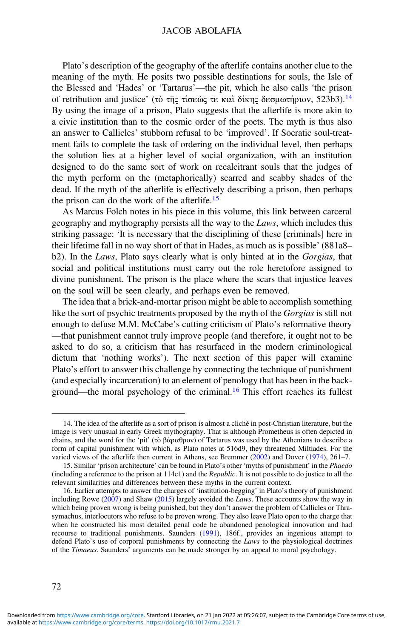## JACOB ABOLAFIA

Plato's description of the geography of the afterlife contains another clue to the meaning of the myth. He posits two possible destinations for souls, the Isle of the Blessed and 'Hades' or 'Tartarus'—the pit, which he also calls 'the prison of retribution and justice' (τὸ τῆς τίσεώς τε καὶ δίκης δεσμωτήριον, 523b3).<sup>14</sup> By using the image of a prison, Plato suggests that the afterlife is more akin to a civic institution than to the cosmic order of the poets. The myth is thus also an answer to Callicles' stubborn refusal to be 'improved'. If Socratic soul-treatment fails to complete the task of ordering on the individual level, then perhaps the solution lies at a higher level of social organization, with an institution designed to do the same sort of work on recalcitrant souls that the judges of the myth perform on the (metaphorically) scarred and scabby shades of the dead. If the myth of the afterlife is effectively describing a prison, then perhaps the prison can do the work of the afterlife.<sup>15</sup>

As Marcus Folch notes in his piece in this volume, this link between carceral geography and mythography persists all the way to the Laws, which includes this striking passage: 'It is necessary that the disciplining of these [criminals] here in their lifetime fall in no way short of that in Hades, as much as is possible' (881a8– b2). In the Laws, Plato says clearly what is only hinted at in the Gorgias, that social and political institutions must carry out the role heretofore assigned to divine punishment. The prison is the place where the scars that injustice leaves on the soul will be seen clearly, and perhaps even be removed.

The idea that a brick-and-mortar prison might be able to accomplish something like the sort of psychic treatments proposed by the myth of the Gorgias is still not enough to defuse M.M. McCabe's cutting criticism of Plato's reformative theory —that punishment cannot truly improve people (and therefore, it ought not to be asked to do so, a criticism that has resurfaced in the modern criminological dictum that 'nothing works'). The next section of this paper will examine Plato's effort to answer this challenge by connecting the technique of punishment (and especially incarceration) to an element of penology that has been in the background—the moral psychology of the criminal.<sup>16</sup> This effort reaches its fullest

<sup>14.</sup> The idea of the afterlife as a sort of prison is almost a cliché in post-Christian literature, but the image is very unusual in early Greek mythography. That is although Prometheus is often depicted in chains, and the word for the 'pit' (τὸ βάραθρον) of Tartarus was used by the Athenians to describe a form of capital punishment with which, as Plato notes at 516d9, they threatened Miltiades. For the varied views of the afterlife then current in Athens, see Bremmer ([2002](#page-17-0)) and Dover [\(1974\)](#page-17-0), 261–7.

<sup>15.</sup> Similar 'prison architecture' can be found in Plato's other 'myths of punishment' in the Phaedo (including a reference to the prison at 114c1) and the Republic. It is not possible to do justice to all the relevant similarities and differences between these myths in the current context.

<sup>16.</sup> Earlier attempts to answer the charges of 'institution-begging' in Plato's theory of punishment including Rowe ([2007\)](#page-18-0) and Shaw [\(2015](#page-18-0)) largely avoided the Laws. These accounts show the way in which being proven wrong is being punished, but they don't answer the problem of Callicles or Thrasymachus, interlocutors who refuse to be proven wrong. They also leave Plato open to the charge that when he constructed his most detailed penal code he abandoned penological innovation and had recourse to traditional punishments. Saunders [\(1991](#page-18-0)), 186f., provides an ingenious attempt to defend Plato's use of corporal punishments by connecting the Laws to the physiological doctrines of the Timaeus. Saunders' arguments can be made stronger by an appeal to moral psychology.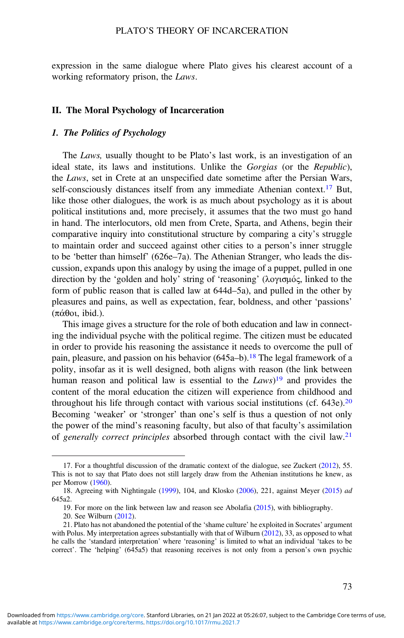expression in the same dialogue where Plato gives his clearest account of a working reformatory prison, the Laws.

#### II. The Moral Psychology of Incarceration

## 1. The Politics of Psychology

The Laws, usually thought to be Plato's last work, is an investigation of an ideal state, its laws and institutions. Unlike the Gorgias (or the Republic), the Laws, set in Crete at an unspecified date sometime after the Persian Wars, self-consciously distances itself from any immediate Athenian context.<sup>17</sup> But, like those other dialogues, the work is as much about psychology as it is about political institutions and, more precisely, it assumes that the two must go hand in hand. The interlocutors, old men from Crete, Sparta, and Athens, begin their comparative inquiry into constitutional structure by comparing a city's struggle to maintain order and succeed against other cities to a person's inner struggle to be 'better than himself' (626e–7a). The Athenian Stranger, who leads the discussion, expands upon this analogy by using the image of a puppet, pulled in one direction by the 'golden and holy' string of 'reasoning' (λογισμός, linked to the form of public reason that is called law at 644d–5a), and pulled in the other by pleasures and pains, as well as expectation, fear, boldness, and other 'passions' (πάθοι, ibid.).

This image gives a structure for the role of both education and law in connecting the individual psyche with the political regime. The citizen must be educated in order to provide his reasoning the assistance it needs to overcome the pull of pain, pleasure, and passion on his behavior  $(645a-b)$ .<sup>18</sup> The legal framework of a polity, insofar as it is well designed, both aligns with reason (the link between human reason and political law is essential to the  $Laws$ <sup>19</sup> and provides the content of the moral education the citizen will experience from childhood and throughout his life through contact with various social institutions (cf.  $643e$ ).<sup>20</sup> Becoming 'weaker' or 'stronger' than one's self is thus a question of not only the power of the mind's reasoning faculty, but also of that faculty's assimilation of generally correct principles absorbed through contact with the civil law.<sup>21</sup>

<sup>17.</sup> For a thoughtful discussion of the dramatic context of the dialogue, see Zuckert ([2012\)](#page-18-0), 55. This is not to say that Plato does not still largely draw from the Athenian institutions he knew, as per Morrow ([1960\)](#page-18-0).

<sup>18.</sup> Agreeing with Nightingale ([1999\)](#page-18-0), 104, and Klosko ([2006\)](#page-17-0), 221, against Meyer [\(2015](#page-18-0)) ad 645a2.

<sup>19.</sup> For more on the link between law and reason see Abolafia [\(2015](#page-17-0)), with bibliography.

<sup>20.</sup> See Wilburn ([2012\)](#page-18-0).

<sup>21.</sup> Plato has not abandoned the potential of the 'shame culture' he exploited in Socrates' argument with Polus. My interpretation agrees substantially with that of Wilburn ([2012\)](#page-18-0), 33, as opposed to what he calls the 'standard interpretation' where 'reasoning' is limited to what an individual 'takes to be correct'. The 'helping' (645a5) that reasoning receives is not only from a person's own psychic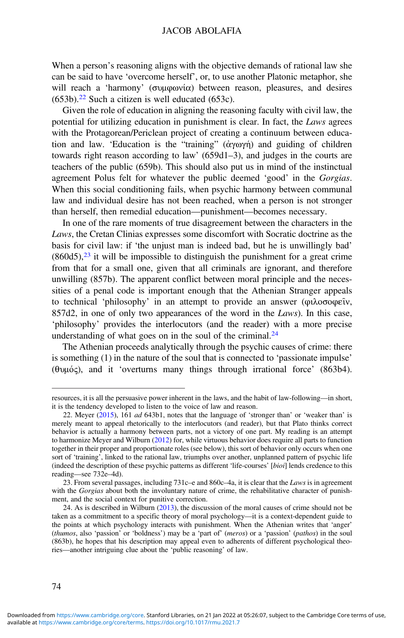When a person's reasoning aligns with the objective demands of rational law she can be said to have 'overcome herself', or, to use another Platonic metaphor, she will reach a 'harmony' (συμφωνία) between reason, pleasures, and desires  $(653b).<sup>22</sup>$  Such a citizen is well educated  $(653c).$ 

Given the role of education in aligning the reasoning faculty with civil law, the potential for utilizing education in punishment is clear. In fact, the Laws agrees with the Protagorean/Periclean project of creating a continuum between education and law. 'Education is the "training" (ἀγωγή) and guiding of children towards right reason according to law' (659d1–3), and judges in the courts are teachers of the public (659b). This should also put us in mind of the instinctual agreement Polus felt for whatever the public deemed 'good' in the Gorgias. When this social conditioning fails, when psychic harmony between communal law and individual desire has not been reached, when a person is not stronger than herself, then remedial education—punishment—becomes necessary.

In one of the rare moments of true disagreement between the characters in the Laws, the Cretan Clinias expresses some discomfort with Socratic doctrine as the basis for civil law: if 'the unjust man is indeed bad, but he is unwillingly bad'  $(860d5)$ ,<sup>23</sup> it will be impossible to distinguish the punishment for a great crime from that for a small one, given that all criminals are ignorant, and therefore unwilling (857b). The apparent conflict between moral principle and the necessities of a penal code is important enough that the Athenian Stranger appeals to technical 'philosophy' in an attempt to provide an answer (φιλοσοφεῖν, 857d2, in one of only two appearances of the word in the Laws). In this case, 'philosophy' provides the interlocutors (and the reader) with a more precise understanding of what goes on in the soul of the criminal. $^{24}$ 

The Athenian proceeds analytically through the psychic causes of crime: there is something (1) in the nature of the soul that is connected to 'passionate impulse' (θυμός), and it 'overturns many things through irrational force' (863b4).

resources, it is all the persuasive power inherent in the laws, and the habit of law-following—in short, it is the tendency developed to listen to the voice of law and reason.

<sup>22.</sup> Meyer  $(2015)$  $(2015)$ , 161 *ad* 643b1, notes that the language of 'stronger than' or 'weaker than' is merely meant to appeal rhetorically to the interlocutors (and reader), but that Plato thinks correct behavior is actually a harmony between parts, not a victory of one part. My reading is an attempt to harmonize Meyer and Wilburn ([2012\)](#page-17-0) for, while virtuous behavior does require all parts to function together in their proper and proportionate roles (see below), this sort of behavior only occurs when one sort of 'training', linked to the rational law, triumphs over another, unplanned pattern of psychic life (indeed the description of these psychic patterns as different 'life-courses' [bioi] lends credence to this reading—see 732e–4d).

<sup>23.</sup> From several passages, including  $731c$ –e and  $860c$ –4a, it is clear that the Laws is in agreement with the Gorgias about both the involuntary nature of crime, the rehabilitative character of punishment, and the social context for punitive correction.

<sup>24.</sup> As is described in Wilburn ([2013\)](#page-18-0), the discussion of the moral causes of crime should not be taken as a commitment to a specific theory of moral psychology—it is a context-dependent guide to the points at which psychology interacts with punishment. When the Athenian writes that 'anger' (thumos, also 'passion' or 'boldness') may be a 'part of' (meros) or a 'passion' (pathos) in the soul (863b), he hopes that his description may appeal even to adherents of different psychological theories—another intriguing clue about the 'public reasoning' of law.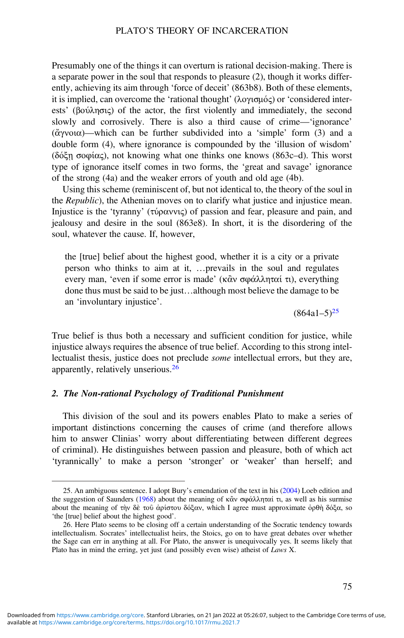Presumably one of the things it can overturn is rational decision-making. There is a separate power in the soul that responds to pleasure (2), though it works differently, achieving its aim through 'force of deceit' (863b8). Both of these elements, it is implied, can overcome the 'rational thought' (λογισμός) or 'considered interests' (βούλησις) of the actor, the first violently and immediately, the second slowly and corrosively. There is also a third cause of crime—'ignorance' (ἄγνοια)—which can be further subdivided into a 'simple' form (3) and a double form (4), where ignorance is compounded by the 'illusion of wisdom' (δόξῃ σοφίας), not knowing what one thinks one knows (863c–d). This worst type of ignorance itself comes in two forms, the 'great and savage' ignorance of the strong (4a) and the weaker errors of youth and old age (4b).

Using this scheme (reminiscent of, but not identical to, the theory of the soul in the Republic), the Athenian moves on to clarify what justice and injustice mean. Injustice is the 'tyranny' (τύραννις) of passion and fear, pleasure and pain, and jealousy and desire in the soul (863e8). In short, it is the disordering of the soul, whatever the cause. If, however,

the [true] belief about the highest good, whether it is a city or a private person who thinks to aim at it, …prevails in the soul and regulates every man, 'even if some error is made' (κἂν σφάλληταί τι), everything done thus must be said to be just…although most believe the damage to be an 'involuntary injustice'.

 $(864a1-5)^{25}$ 

True belief is thus both a necessary and sufficient condition for justice, while injustice always requires the absence of true belief. According to this strong intellectualist thesis, justice does not preclude some intellectual errors, but they are, apparently, relatively unserious.<sup>26</sup>

## 2. The Non-rational Psychology of Traditional Punishment

This division of the soul and its powers enables Plato to make a series of important distinctions concerning the causes of crime (and therefore allows him to answer Clinias' worry about differentiating between different degrees of criminal). He distinguishes between passion and pleasure, both of which act 'tyrannically' to make a person 'stronger' or 'weaker' than herself; and

<sup>25.</sup> An ambiguous sentence. I adopt Bury's emendation of the text in his [\(2004](#page-17-0)) Loeb edition and the suggestion of Saunders ([1968\)](#page-18-0) about the meaning of κἂν σφάλληταί τι, as well as his surmise about the meaning of τὴν δὲ τοῦ ἀρίστου δόξαν, which I agree must approximate ὀρθὴ δόξα, so 'the [true] belief about the highest good'.

<sup>26.</sup> Here Plato seems to be closing off a certain understanding of the Socratic tendency towards intellectualism. Socrates' intellectualist heirs, the Stoics, go on to have great debates over whether the Sage can err in anything at all. For Plato, the answer is unequivocally yes. It seems likely that Plato has in mind the erring, yet just (and possibly even wise) atheist of Laws X.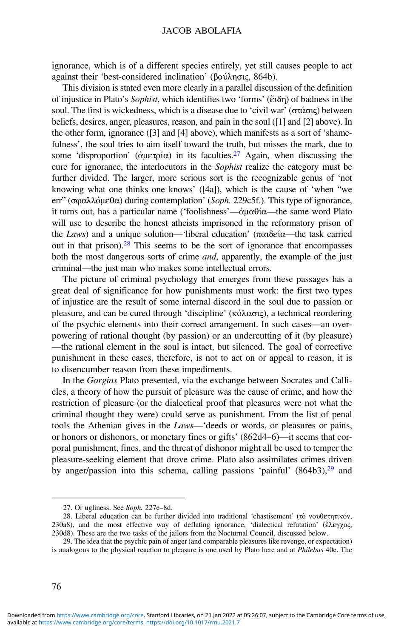ignorance, which is of a different species entirely, yet still causes people to act against their 'best-considered inclination' (βούλησις, 864b).

This division is stated even more clearly in a parallel discussion of the definition of injustice in Plato's Sophist, which identifies two 'forms' (ἔιδη) of badness in the soul. The first is wickedness, which is a disease due to 'civil war' (στάσις) between beliefs, desires, anger, pleasures, reason, and pain in the soul ([1] and [2] above). In the other form, ignorance ([3] and [4] above), which manifests as a sort of 'shamefulness', the soul tries to aim itself toward the truth, but misses the mark, due to some 'disproportion' (ἀμετρία) in its faculties.<sup>27</sup> Again, when discussing the cure for ignorance, the interlocutors in the Sophist realize the category must be further divided. The larger, more serious sort is the recognizable genus of 'not knowing what one thinks one knows' ([4a]), which is the cause of 'when "we err" (σφαλλόμεθα) during contemplation' (Soph. 229c5f.). This type of ignorance, it turns out, has a particular name ('foolishness'—ἀμαθία—the same word Plato will use to describe the honest atheists imprisoned in the reformatory prison of the Laws) and a unique solution—'liberal education' (παιδεία—the task carried out in that prison).<sup>28</sup> This seems to be the sort of ignorance that encompasses both the most dangerous sorts of crime *and*, apparently, the example of the just criminal—the just man who makes some intellectual errors.

The picture of criminal psychology that emerges from these passages has a great deal of significance for how punishments must work: the first two types of injustice are the result of some internal discord in the soul due to passion or pleasure, and can be cured through 'discipline' (κόλασις), a technical reordering of the psychic elements into their correct arrangement. In such cases—an overpowering of rational thought (by passion) or an undercutting of it (by pleasure) —the rational element in the soul is intact, but silenced. The goal of corrective punishment in these cases, therefore, is not to act on or appeal to reason, it is to disencumber reason from these impediments.

In the Gorgias Plato presented, via the exchange between Socrates and Callicles, a theory of how the pursuit of pleasure was the cause of crime, and how the restriction of pleasure (or the dialectical proof that pleasures were not what the criminal thought they were) could serve as punishment. From the list of penal tools the Athenian gives in the Laws—'deeds or words, or pleasures or pains, or honors or dishonors, or monetary fines or gifts' (862d4–6)—it seems that corporal punishment, fines, and the threat of dishonor might all be used to temper the pleasure-seeking element that drove crime. Plato also assimilates crimes driven by anger/passion into this schema, calling passions 'painful'  $(864b3)<sup>29</sup>$  and

<sup>27.</sup> Or ugliness. See Soph. 227e–8d.

<sup>28.</sup> Liberal education can be further divided into traditional 'chastisement' (τὸ νουθετητικόν, 230a8), and the most effective way of deflating ignorance, 'dialectical refutation' (ἔλεγχος, 230d8). These are the two tasks of the jailors from the Nocturnal Council, discussed below.

<sup>29.</sup> The idea that the psychic pain of anger (and comparable pleasures like revenge, or expectation) is analogous to the physical reaction to pleasure is one used by Plato here and at *Philebus* 40e. The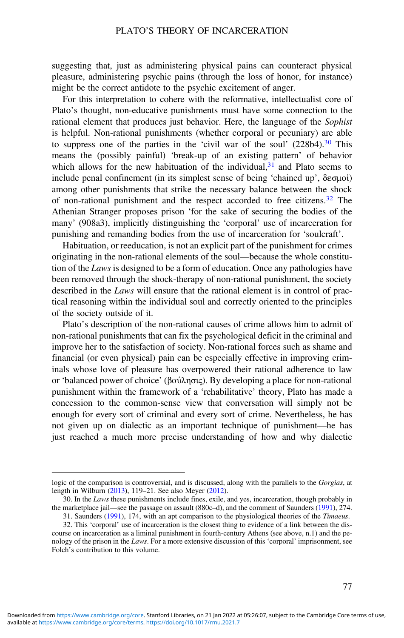suggesting that, just as administering physical pains can counteract physical pleasure, administering psychic pains (through the loss of honor, for instance) might be the correct antidote to the psychic excitement of anger.

For this interpretation to cohere with the reformative, intellectualist core of Plato's thought, non-educative punishments must have some connection to the rational element that produces just behavior. Here, the language of the Sophist is helpful. Non-rational punishments (whether corporal or pecuniary) are able to suppress one of the parties in the 'civil war of the soul'  $(228b4).^{30}$  This means the (possibly painful) 'break-up of an existing pattern' of behavior which allows for the new habituation of the individual, $3<sup>1</sup>$  and Plato seems to include penal confinement (in its simplest sense of being 'chained up', δεσμοί) among other punishments that strike the necessary balance between the shock of non-rational punishment and the respect accorded to free citizens.<sup>32</sup> The Athenian Stranger proposes prison 'for the sake of securing the bodies of the many' (908a3), implicitly distinguishing the 'corporal' use of incarceration for punishing and remanding bodies from the use of incarceration for 'soulcraft'.

Habituation, or reeducation, is not an explicit part of the punishment for crimes originating in the non-rational elements of the soul—because the whole constitution of the *Laws* is designed to be a form of education. Once any pathologies have been removed through the shock-therapy of non-rational punishment, the society described in the Laws will ensure that the rational element is in control of practical reasoning within the individual soul and correctly oriented to the principles of the society outside of it.

Plato's description of the non-rational causes of crime allows him to admit of non-rational punishments that can fix the psychological deficit in the criminal and improve her to the satisfaction of society. Non-rational forces such as shame and financial (or even physical) pain can be especially effective in improving criminals whose love of pleasure has overpowered their rational adherence to law or 'balanced power of choice' (βούλησις). By developing a place for non-rational punishment within the framework of a 'rehabilitative' theory, Plato has made a concession to the common-sense view that conversation will simply not be enough for every sort of criminal and every sort of crime. Nevertheless, he has not given up on dialectic as an important technique of punishment—he has just reached a much more precise understanding of how and why dialectic

logic of the comparison is controversial, and is discussed, along with the parallels to the Gorgias, at length in Wilburn [\(2013](#page-18-0)), 119–21. See also Meyer ([2012\)](#page-17-0).

<sup>30.</sup> In the Laws these punishments include fines, exile, and yes, incarceration, though probably in the marketplace jail—see the passage on assault (880c–d), and the comment of Saunders [\(1991](#page-18-0)), 274.

<sup>31.</sup> Saunders ([1991\)](#page-18-0), 174, with an apt comparison to the physiological theories of the Timaeus. 32. This 'corporal' use of incarceration is the closest thing to evidence of a link between the dis-

course on incarceration as a liminal punishment in fourth-century Athens (see above, n.1) and the penology of the prison in the Laws. For a more extensive discussion of this 'corporal' imprisonment, see Folch's contribution to this volume.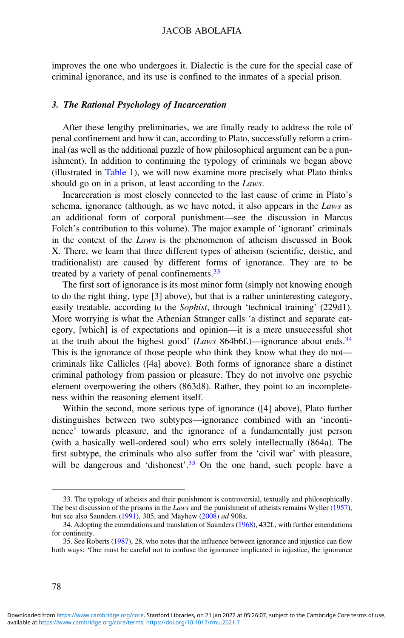improves the one who undergoes it. Dialectic is the cure for the special case of criminal ignorance, and its use is confined to the inmates of a special prison.

### 3. The Rational Psychology of Incarceration

After these lengthy preliminaries, we are finally ready to address the role of penal confinement and how it can, according to Plato, successfully reform a criminal (as well as the additional puzzle of how philosophical argument can be a punishment). In addition to continuing the typology of criminals we began above (illustrated in [Table 1\)](#page-11-0), we will now examine more precisely what Plato thinks should go on in a prison, at least according to the Laws.

Incarceration is most closely connected to the last cause of crime in Plato's schema, ignorance (although, as we have noted, it also appears in the Laws as an additional form of corporal punishment—see the discussion in Marcus Folch's contribution to this volume). The major example of 'ignorant' criminals in the context of the Laws is the phenomenon of atheism discussed in Book X. There, we learn that three different types of atheism (scientific, deistic, and traditionalist) are caused by different forms of ignorance. They are to be treated by a variety of penal confinements.<sup>33</sup>

The first sort of ignorance is its most minor form (simply not knowing enough to do the right thing, type [3] above), but that is a rather uninteresting category, easily treatable, according to the Sophist, through 'technical training' (229d1). More worrying is what the Athenian Stranger calls 'a distinct and separate category, [which] is of expectations and opinion—it is a mere unsuccessful shot at the truth about the highest good' (*Laws* 864b6f.)—ignorance about ends.<sup>34</sup> This is the ignorance of those people who think they know what they do not criminals like Callicles ([4a] above). Both forms of ignorance share a distinct criminal pathology from passion or pleasure. They do not involve one psychic element overpowering the others (863d8). Rather, they point to an incompleteness within the reasoning element itself.

Within the second, more serious type of ignorance ([4] above), Plato further distinguishes between two subtypes—ignorance combined with an 'incontinence' towards pleasure, and the ignorance of a fundamentally just person (with a basically well-ordered soul) who errs solely intellectually (864a). The first subtype, the criminals who also suffer from the 'civil war' with pleasure, will be dangerous and 'dishonest'.<sup>35</sup> On the one hand, such people have a

<sup>33.</sup> The typology of atheists and their punishment is controversial, textually and philosophically. The best discussion of the prisons in the *Laws* and the punishment of atheists remains Wyller [\(1957\)](#page-18-0), but see also Saunders [\(1991](#page-18-0)), 305, and Mayhew [\(2008](#page-17-0)) ad 908a.

<sup>34.</sup> Adopting the emendations and translation of Saunders [\(1968\)](#page-18-0), 432f., with further emendations for continuity.

<sup>35.</sup> See Roberts [\(1987](#page-18-0)), 28, who notes that the influence between ignorance and injustice can flow both ways: 'One must be careful not to confuse the ignorance implicated in injustice, the ignorance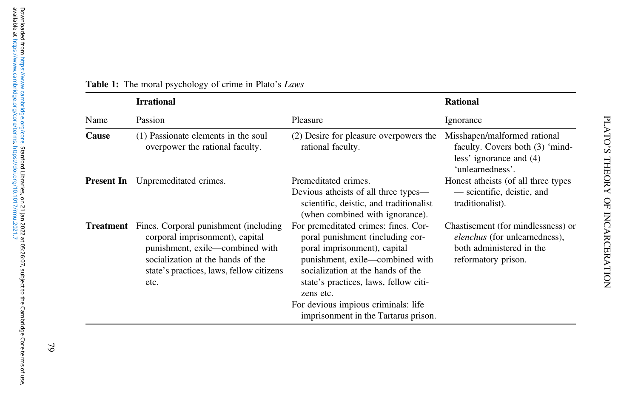| Name       | <b>Irrational</b>                                                                                                                                                                                    |                                                                                                                                                                                                                                                                                                                       | <b>Rational</b>                                                                                                        |
|------------|------------------------------------------------------------------------------------------------------------------------------------------------------------------------------------------------------|-----------------------------------------------------------------------------------------------------------------------------------------------------------------------------------------------------------------------------------------------------------------------------------------------------------------------|------------------------------------------------------------------------------------------------------------------------|
|            | Passion                                                                                                                                                                                              | Pleasure                                                                                                                                                                                                                                                                                                              | Ignorance                                                                                                              |
| Cause      | (1) Passionate elements in the soul<br>overpower the rational faculty.                                                                                                                               | (2) Desire for pleasure overpowers the<br>rational faculty.                                                                                                                                                                                                                                                           | Misshapen/malformed rational<br>faculty. Covers both (3) 'mind-<br>less' ignorance and (4)<br>'unlearnedness'.         |
| Present In | Unpremeditated crimes.                                                                                                                                                                               | Premeditated crimes.<br>Devious atheists of all three types—<br>scientific, deistic, and traditionalist<br>(when combined with ignorance).                                                                                                                                                                            | Honest atheists (of all three types<br>— scientific, deistic, and<br>traditionalist).                                  |
| Treatment  | Fines. Corporal punishment (including<br>corporal imprisonment), capital<br>punishment, exile-combined with<br>socialization at the hands of the<br>state's practices, laws, fellow citizens<br>etc. | For premeditated crimes: fines. Cor-<br>poral punishment (including cor-<br>poral imprisonment), capital<br>punishment, exile-combined with<br>socialization at the hands of the<br>state's practices, laws, fellow citi-<br>zens etc.<br>For devious impious criminals: life<br>imprisonment in the Tartarus prison. | Chastisement (for mindlessness) or<br>elenchus (for unlearnedness),<br>both administered in the<br>reformatory prison. |

#### <span id="page-11-0"></span>**Table 1:** The moral psychology of crime in Plato's *Laws*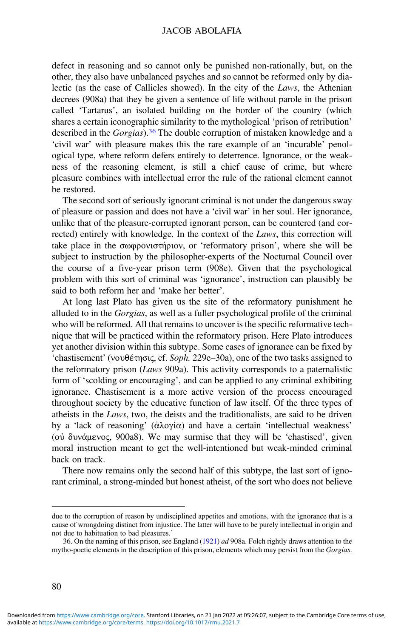defect in reasoning and so cannot only be punished non-rationally, but, on the other, they also have unbalanced psyches and so cannot be reformed only by dialectic (as the case of Callicles showed). In the city of the Laws, the Athenian decrees (908a) that they be given a sentence of life without parole in the prison called 'Tartarus', an isolated building on the border of the country (which shares a certain iconographic similarity to the mythological 'prison of retribution' described in the *Gorgias*).<sup>36</sup> The double corruption of mistaken knowledge and a 'civil war' with pleasure makes this the rare example of an 'incurable' penological type, where reform defers entirely to deterrence. Ignorance, or the weakness of the reasoning element, is still a chief cause of crime, but where pleasure combines with intellectual error the rule of the rational element cannot be restored.

The second sort of seriously ignorant criminal is not under the dangerous sway of pleasure or passion and does not have a 'civil war' in her soul. Her ignorance, unlike that of the pleasure-corrupted ignorant person, can be countered (and corrected) entirely with knowledge. In the context of the *Laws*, this correction will take place in the σωφρονιστήριον, or 'reformatory prison', where she will be subject to instruction by the philosopher-experts of the Nocturnal Council over the course of a five-year prison term (908e). Given that the psychological problem with this sort of criminal was 'ignorance', instruction can plausibly be said to both reform her and 'make her better'.

At long last Plato has given us the site of the reformatory punishment he alluded to in the Gorgias, as well as a fuller psychological profile of the criminal who will be reformed. All that remains to uncover is the specific reformative technique that will be practiced within the reformatory prison. Here Plato introduces yet another division within this subtype. Some cases of ignorance can be fixed by 'chastisement' (νουθέτησις, cf. Soph. 229e–30a), one of the two tasks assigned to the reformatory prison (Laws 909a). This activity corresponds to a paternalistic form of 'scolding or encouraging', and can be applied to any criminal exhibiting ignorance. Chastisement is a more active version of the process encouraged throughout society by the educative function of law itself. Of the three types of atheists in the Laws, two, the deists and the traditionalists, are said to be driven by a 'lack of reasoning' (ἀλογία) and have a certain 'intellectual weakness' (οὐ δυνάμενος, 900a8). We may surmise that they will be 'chastised', given moral instruction meant to get the well-intentioned but weak-minded criminal back on track.

There now remains only the second half of this subtype, the last sort of ignorant criminal, a strong-minded but honest atheist, of the sort who does not believe

due to the corruption of reason by undisciplined appetites and emotions, with the ignorance that is a cause of wrongdoing distinct from injustice. The latter will have to be purely intellectual in origin and not due to habituation to bad pleasures.'

<sup>36.</sup> On the naming of this prison, see England ([1921\)](#page-17-0) ad 908a. Folch rightly draws attention to the mytho-poetic elements in the description of this prison, elements which may persist from the Gorgias.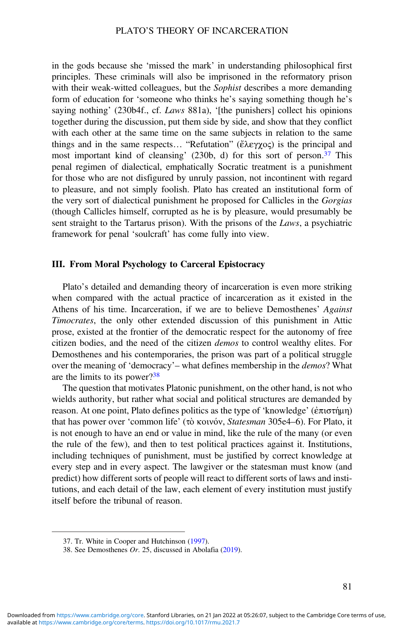in the gods because she 'missed the mark' in understanding philosophical first principles. These criminals will also be imprisoned in the reformatory prison with their weak-witted colleagues, but the *Sophist* describes a more demanding form of education for 'someone who thinks he's saying something though he's saying nothing' (230b4f., cf. Laws 881a), '[the punishers] collect his opinions together during the discussion, put them side by side, and show that they conflict with each other at the same time on the same subjects in relation to the same things and in the same respects… "Refutation" (ἔλεγχος) is the principal and most important kind of cleansing' (230b, d) for this sort of person.<sup>37</sup> This penal regimen of dialectical, emphatically Socratic treatment is a punishment for those who are not disfigured by unruly passion, not incontinent with regard to pleasure, and not simply foolish. Plato has created an institutional form of the very sort of dialectical punishment he proposed for Callicles in the Gorgias (though Callicles himself, corrupted as he is by pleasure, would presumably be sent straight to the Tartarus prison). With the prisons of the Laws, a psychiatric framework for penal 'soulcraft' has come fully into view.

## III. From Moral Psychology to Carceral Epistocracy

Plato's detailed and demanding theory of incarceration is even more striking when compared with the actual practice of incarceration as it existed in the Athens of his time. Incarceration, if we are to believe Demosthenes' Against Timocrates, the only other extended discussion of this punishment in Attic prose, existed at the frontier of the democratic respect for the autonomy of free citizen bodies, and the need of the citizen demos to control wealthy elites. For Demosthenes and his contemporaries, the prison was part of a political struggle over the meaning of 'democracy'– what defines membership in the *demos*? What are the limits to its power?<sup>38</sup>

The question that motivates Platonic punishment, on the other hand, is not who wields authority, but rather what social and political structures are demanded by reason. At one point, Plato defines politics as the type of 'knowledge' (ἐπιστήμη) that has power over 'common life' (τὸ κοινόν, Statesman 305e4–6). For Plato, it is not enough to have an end or value in mind, like the rule of the many (or even the rule of the few), and then to test political practices against it. Institutions, including techniques of punishment, must be justified by correct knowledge at every step and in every aspect. The lawgiver or the statesman must know (and predict) how different sorts of people will react to different sorts of laws and institutions, and each detail of the law, each element of every institution must justify itself before the tribunal of reason.

<sup>37.</sup> Tr. White in Cooper and Hutchinson ([1997\)](#page-17-0).

<sup>38.</sup> See Demosthenes Or. 25, discussed in Abolafia ([2019\)](#page-17-0).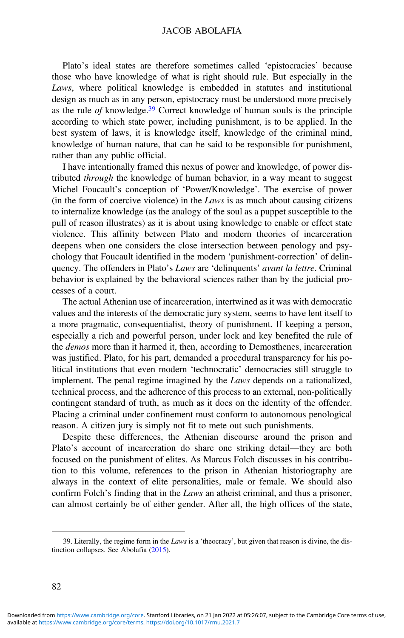### JACOB ABOLAFIA

Plato's ideal states are therefore sometimes called 'epistocracies' because those who have knowledge of what is right should rule. But especially in the Laws, where political knowledge is embedded in statutes and institutional design as much as in any person, epistocracy must be understood more precisely as the rule of knowledge.<sup>39</sup> Correct knowledge of human souls is the principle according to which state power, including punishment, is to be applied. In the best system of laws, it is knowledge itself, knowledge of the criminal mind, knowledge of human nature, that can be said to be responsible for punishment, rather than any public official.

I have intentionally framed this nexus of power and knowledge, of power distributed through the knowledge of human behavior, in a way meant to suggest Michel Foucault's conception of 'Power/Knowledge'. The exercise of power (in the form of coercive violence) in the  $Laws$  is as much about causing citizens to internalize knowledge (as the analogy of the soul as a puppet susceptible to the pull of reason illustrates) as it is about using knowledge to enable or effect state violence. This affinity between Plato and modern theories of incarceration deepens when one considers the close intersection between penology and psychology that Foucault identified in the modern 'punishment-correction' of delinquency. The offenders in Plato's Laws are 'delinquents' avant la lettre. Criminal behavior is explained by the behavioral sciences rather than by the judicial processes of a court.

The actual Athenian use of incarceration, intertwined as it was with democratic values and the interests of the democratic jury system, seems to have lent itself to a more pragmatic, consequentialist, theory of punishment. If keeping a person, especially a rich and powerful person, under lock and key benefited the rule of the demos more than it harmed it, then, according to Demosthenes, incarceration was justified. Plato, for his part, demanded a procedural transparency for his political institutions that even modern 'technocratic' democracies still struggle to implement. The penal regime imagined by the Laws depends on a rationalized, technical process, and the adherence of this process to an external, non-politically contingent standard of truth, as much as it does on the identity of the offender. Placing a criminal under confinement must conform to autonomous penological reason. A citizen jury is simply not fit to mete out such punishments.

Despite these differences, the Athenian discourse around the prison and Plato's account of incarceration do share one striking detail—they are both focused on the punishment of elites. As Marcus Folch discusses in his contribution to this volume, references to the prison in Athenian historiography are always in the context of elite personalities, male or female. We should also confirm Folch's finding that in the Laws an atheist criminal, and thus a prisoner, can almost certainly be of either gender. After all, the high offices of the state,

<sup>39.</sup> Literally, the regime form in the Laws is a 'theocracy', but given that reason is divine, the distinction collapses. See Abolafia [\(2015](#page-17-0)).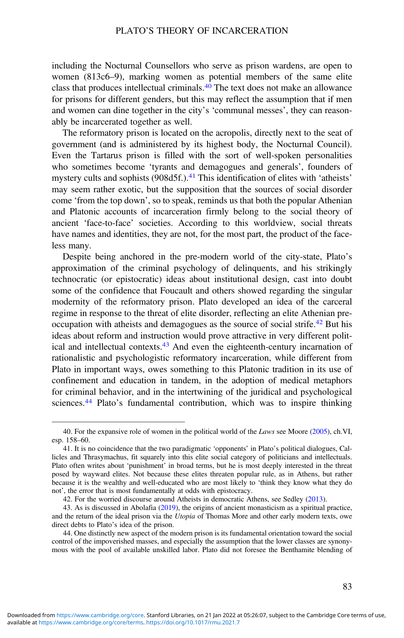including the Nocturnal Counsellors who serve as prison wardens, are open to women (813c6–9), marking women as potential members of the same elite class that produces intellectual criminals.<sup>40</sup> The text does not make an allowance for prisons for different genders, but this may reflect the assumption that if men and women can dine together in the city's 'communal messes', they can reasonably be incarcerated together as well.

The reformatory prison is located on the acropolis, directly next to the seat of government (and is administered by its highest body, the Nocturnal Council). Even the Tartarus prison is filled with the sort of well-spoken personalities who sometimes become 'tyrants and demagogues and generals', founders of mystery cults and sophists (908d5f.).<sup>41</sup> This identification of elites with 'atheists' may seem rather exotic, but the supposition that the sources of social disorder come 'from the top down', so to speak, reminds us that both the popular Athenian and Platonic accounts of incarceration firmly belong to the social theory of ancient 'face-to-face' societies. According to this worldview, social threats have names and identities, they are not, for the most part, the product of the faceless many.

Despite being anchored in the pre-modern world of the city-state, Plato's approximation of the criminal psychology of delinquents, and his strikingly technocratic (or epistocratic) ideas about institutional design, cast into doubt some of the confidence that Foucault and others showed regarding the singular modernity of the reformatory prison. Plato developed an idea of the carceral regime in response to the threat of elite disorder, reflecting an elite Athenian preoccupation with atheists and demagogues as the source of social strife.<sup>42</sup> But his ideas about reform and instruction would prove attractive in very different political and intellectual contexts.<sup>43</sup> And even the eighteenth-century incarnation of rationalistic and psychologistic reformatory incarceration, while different from Plato in important ways, owes something to this Platonic tradition in its use of confinement and education in tandem, in the adoption of medical metaphors for criminal behavior, and in the intertwining of the juridical and psychological sciences.<sup>44</sup> Plato's fundamental contribution, which was to inspire thinking

<sup>40.</sup> For the expansive role of women in the political world of the Laws see Moore [\(2005](#page-18-0)), ch.VI, esp. 158–60.

<sup>41.</sup> It is no coincidence that the two paradigmatic 'opponents' in Plato's political dialogues, Callicles and Thrasymachus, fit squarely into this elite social category of politicians and intellectuals. Plato often writes about 'punishment' in broad terms, but he is most deeply interested in the threat posed by wayward elites. Not because these elites threaten popular rule, as in Athens, but rather because it is the wealthy and well-educated who are most likely to 'think they know what they do not', the error that is most fundamentally at odds with epistocracy.

<sup>42.</sup> For the worried discourse around Atheists in democratic Athens, see Sedley [\(2013](#page-18-0)).

<sup>43.</sup> As is discussed in Abolafia [\(2019](#page-17-0)), the origins of ancient monasticism as a spiritual practice, and the return of the ideal prison via the Utopia of Thomas More and other early modern texts, owe direct debts to Plato's idea of the prison.

<sup>44.</sup> One distinctly new aspect of the modern prison is its fundamental orientation toward the social control of the impoverished masses, and especially the assumption that the lower classes are synonymous with the pool of available unskilled labor. Plato did not foresee the Benthamite blending of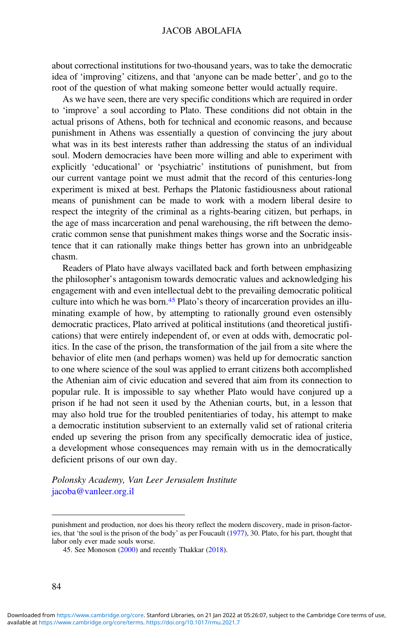about correctional institutions for two-thousand years, was to take the democratic idea of 'improving' citizens, and that 'anyone can be made better', and go to the root of the question of what making someone better would actually require.

As we have seen, there are very specific conditions which are required in order to 'improve' a soul according to Plato. These conditions did not obtain in the actual prisons of Athens, both for technical and economic reasons, and because punishment in Athens was essentially a question of convincing the jury about what was in its best interests rather than addressing the status of an individual soul. Modern democracies have been more willing and able to experiment with explicitly 'educational' or 'psychiatric' institutions of punishment, but from our current vantage point we must admit that the record of this centuries-long experiment is mixed at best. Perhaps the Platonic fastidiousness about rational means of punishment can be made to work with a modern liberal desire to respect the integrity of the criminal as a rights-bearing citizen, but perhaps, in the age of mass incarceration and penal warehousing, the rift between the democratic common sense that punishment makes things worse and the Socratic insistence that it can rationally make things better has grown into an unbridgeable chasm.

Readers of Plato have always vacillated back and forth between emphasizing the philosopher's antagonism towards democratic values and acknowledging his engagement with and even intellectual debt to the prevailing democratic political culture into which he was born.<sup>45</sup> Plato's theory of incarceration provides an illuminating example of how, by attempting to rationally ground even ostensibly democratic practices, Plato arrived at political institutions (and theoretical justifications) that were entirely independent of, or even at odds with, democratic politics. In the case of the prison, the transformation of the jail from a site where the behavior of elite men (and perhaps women) was held up for democratic sanction to one where science of the soul was applied to errant citizens both accomplished the Athenian aim of civic education and severed that aim from its connection to popular rule. It is impossible to say whether Plato would have conjured up a prison if he had not seen it used by the Athenian courts, but, in a lesson that may also hold true for the troubled penitentiaries of today, his attempt to make a democratic institution subservient to an externally valid set of rational criteria ended up severing the prison from any specifically democratic idea of justice, a development whose consequences may remain with us in the democratically deficient prisons of our own day.

Polonsky Academy, Van Leer Jerusalem Institute [jacoba@vanleer.org.il](mailto:jacoba@vanleer.org.il)

punishment and production, nor does his theory reflect the modern discovery, made in prison-factories, that 'the soul is the prison of the body' as per Foucault ([1977\)](#page-17-0), 30. Plato, for his part, thought that labor only ever made souls worse.

<sup>45.</sup> See Monoson [\(2000](#page-18-0)) and recently Thakkar [\(2018](#page-18-0)).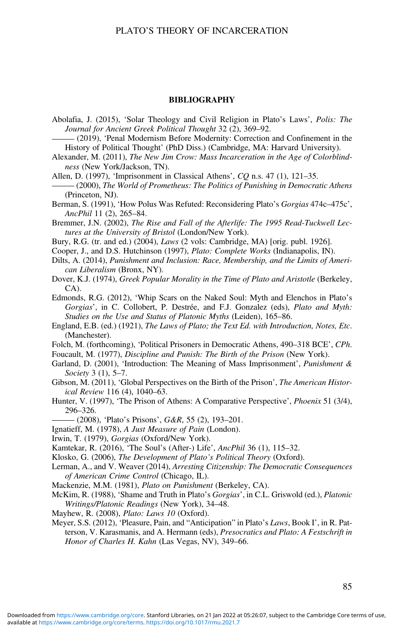#### BIBLIOGRAPHY

- <span id="page-17-0"></span>Abolafia, J. (2015), 'Solar Theology and Civil Religion in Plato's Laws', Polis: The Journal for Ancient Greek Political Thought 32 (2), 369–92.
- (2019), 'Penal Modernism Before Modernity: Correction and Confinement in the History of Political Thought' (PhD Diss.) (Cambridge, MA: Harvard University).
- Alexander, M. (2011), The New Jim Crow: Mass Incarceration in the Age of Colorblindness (New York/Jackson, TN).
- Allen, D. (1997), 'Imprisonment in Classical Athens', CQ n.s. 47 (1), 121–35.
- (2000), The World of Prometheus: The Politics of Punishing in Democratic Athens (Princeton, NJ).
- Berman, S. (1991), 'How Polus Was Refuted: Reconsidering Plato's Gorgias 474c–475c', AncPhil 11 (2), 265–84.
- Bremmer, J.N. (2002), The Rise and Fall of the Afterlife: The 1995 Read-Tuckwell Lectures at the University of Bristol (London/New York).
- Bury, R.G. (tr. and ed.) (2004), Laws (2 vols: Cambridge, MA) [orig. publ. 1926].
- Cooper, J., and D.S. Hutchinson (1997), Plato: Complete Works (Indianapolis, IN).
- Dilts, A. (2014), Punishment and Inclusion: Race, Membership, and the Limits of American Liberalism (Bronx, NY).
- Dover, K.J. (1974), Greek Popular Morality in the Time of Plato and Aristotle (Berkeley, CA).
- Edmonds, R.G. (2012), 'Whip Scars on the Naked Soul: Myth and Elenchos in Plato's Gorgias', in C. Collobert, P. Destrée, and F.J. Gonzalez (eds), Plato and Myth: Studies on the Use and Status of Platonic Myths (Leiden), 165–86.
- England, E.B. (ed.) (1921), The Laws of Plato; the Text Ed. with Introduction, Notes, Etc. (Manchester).
- Folch, M. (forthcoming), 'Political Prisoners in Democratic Athens, 490–318 BCE', CPh.
- Foucault, M. (1977), Discipline and Punish: The Birth of the Prison (New York).
- Garland, D. (2001), 'Introduction: The Meaning of Mass Imprisonment', *Punishment &* Society 3 (1), 5–7.
- Gibson, M. (2011), 'Global Perspectives on the Birth of the Prison', *The American Histor*ical Review 116 (4), 1040–63.
- Hunter, V. (1997), 'The Prison of Athens: A Comparative Perspective', Phoenix 51 (3/4), 296–326.
	- $-(2008)$ , 'Plato's Prisons',  $G\&R$ , 55 (2), 193–201.
- Ignatieff, M. (1978), A Just Measure of Pain (London).
- Irwin, T. (1979), Gorgias (Oxford/New York).
- Kamtekar, R. (2016), 'The Soul's (After-) Life', AncPhil 36 (1), 115–32.
- Klosko, G. (2006), The Development of Plato's Political Theory (Oxford).
- Lerman, A., and V. Weaver (2014), Arresting Citizenship: The Democratic Consequences of American Crime Control (Chicago, IL).
- Mackenzie, M.M. (1981), Plato on Punishment (Berkeley, CA).
- McKim, R. (1988), 'Shame and Truth in Plato's Gorgias', in C.L. Griswold (ed.), Platonic Writings/Platonic Readings (New York), 34–48.
- Mayhew, R. (2008), Plato: Laws 10 (Oxford).
- Meyer, S.S. (2012), 'Pleasure, Pain, and "Anticipation" in Plato's Laws, Book I', in R. Patterson, V. Karasmanis, and A. Hermann (eds), Presocratics and Plato: A Festschrift in Honor of Charles H. Kahn (Las Vegas, NV), 349–66.